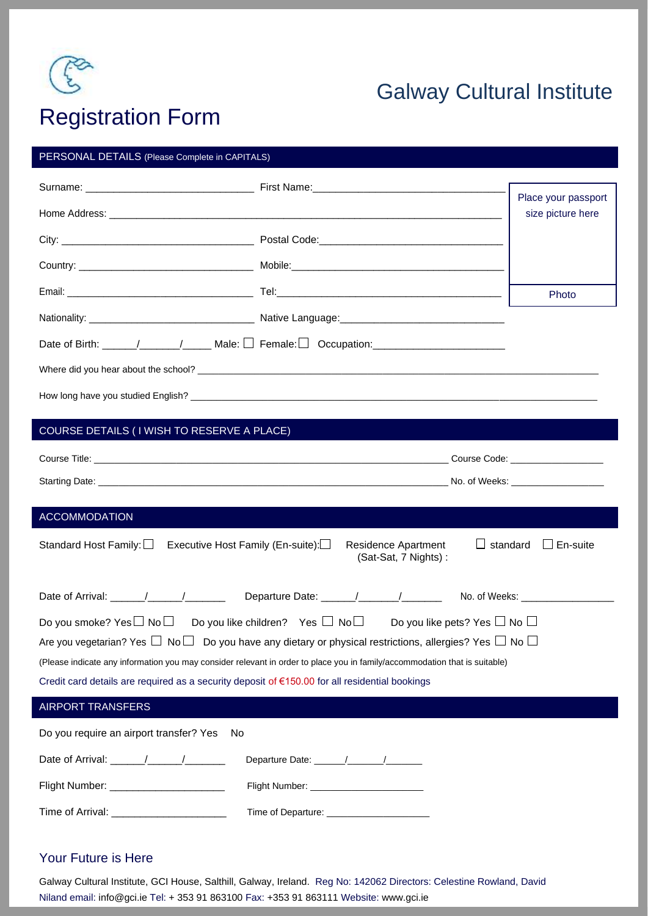

# Galway Cultural Institute

# Registration Form

#### PERSONAL DETAILS (Please Complete in CAPITALS)

|  | Place your passport |
|--|---------------------|
|  | size picture here   |
|  |                     |
|  |                     |
|  | Photo               |
|  |                     |
|  |                     |
|  |                     |
|  |                     |

### COURSE DETAILS ( I WISH TO RESERVE A PLACE)

| <b>ACCOMMODATION</b>                                                                                                                                                                                                                                                                                                                                                                                                                                                                         |                                                                                          |  |  |
|----------------------------------------------------------------------------------------------------------------------------------------------------------------------------------------------------------------------------------------------------------------------------------------------------------------------------------------------------------------------------------------------------------------------------------------------------------------------------------------------|------------------------------------------------------------------------------------------|--|--|
| Standard Host Family: $\square$<br>Executive Host Family (En-suite):                                                                                                                                                                                                                                                                                                                                                                                                                         | $\Box$ standard<br>$\Box$ En-suite<br><b>Residence Apartment</b><br>(Sat-Sat, 7 Nights): |  |  |
|                                                                                                                                                                                                                                                                                                                                                                                                                                                                                              | No. of Weeks: _________________                                                          |  |  |
| Do you smoke? Yes $\Box$ No $\Box$ Do you like children? Yes $\Box$ No $\Box$ Do you like pets? Yes $\Box$ No $\Box$<br>Are you vegetarian? Yes $\Box$ No $\Box$ Do you have any dietary or physical restrictions, allergies? Yes $\Box$ No $\Box$<br>(Please indicate any information you may consider relevant in order to place you in family/accommodation that is suitable)<br>Credit card details are required as a security deposit of $\epsilon$ 150.00 for all residential bookings |                                                                                          |  |  |
| <b>AIRPORT TRANSFERS</b>                                                                                                                                                                                                                                                                                                                                                                                                                                                                     |                                                                                          |  |  |
| Do you require an airport transfer? Yes<br>No.                                                                                                                                                                                                                                                                                                                                                                                                                                               |                                                                                          |  |  |
| Date of Arrival: 1 1                                                                                                                                                                                                                                                                                                                                                                                                                                                                         |                                                                                          |  |  |
| Flight Number: ________________________<br>Flight Number: ________________________                                                                                                                                                                                                                                                                                                                                                                                                           |                                                                                          |  |  |
| Time of Arrival: _________________________                                                                                                                                                                                                                                                                                                                                                                                                                                                   | Time of Departure: ______________________                                                |  |  |

### Your Future is Here

Galway Cultural Institute, GCI House, Salthill, Galway, Ireland. Reg No: 142062 Directors: Celestine Rowland, David Niland email: info@gci.ie Tel: + 353 91 863100 Fax: +353 91 863111 Website: www.gci.ie